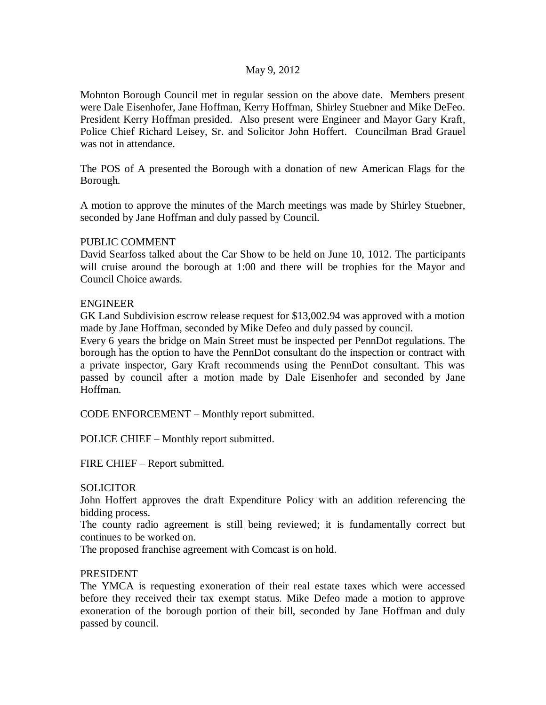### May 9, 2012

Mohnton Borough Council met in regular session on the above date. Members present were Dale Eisenhofer, Jane Hoffman, Kerry Hoffman, Shirley Stuebner and Mike DeFeo. President Kerry Hoffman presided. Also present were Engineer and Mayor Gary Kraft, Police Chief Richard Leisey, Sr. and Solicitor John Hoffert. Councilman Brad Grauel was not in attendance.

The POS of A presented the Borough with a donation of new American Flags for the Borough.

A motion to approve the minutes of the March meetings was made by Shirley Stuebner, seconded by Jane Hoffman and duly passed by Council.

### PUBLIC COMMENT

David Searfoss talked about the Car Show to be held on June 10, 1012. The participants will cruise around the borough at 1:00 and there will be trophies for the Mayor and Council Choice awards.

### ENGINEER

GK Land Subdivision escrow release request for \$13,002.94 was approved with a motion made by Jane Hoffman, seconded by Mike Defeo and duly passed by council.

Every 6 years the bridge on Main Street must be inspected per PennDot regulations. The borough has the option to have the PennDot consultant do the inspection or contract with a private inspector, Gary Kraft recommends using the PennDot consultant. This was passed by council after a motion made by Dale Eisenhofer and seconded by Jane Hoffman.

CODE ENFORCEMENT – Monthly report submitted.

POLICE CHIEF – Monthly report submitted.

FIRE CHIEF – Report submitted.

#### **SOLICITOR**

John Hoffert approves the draft Expenditure Policy with an addition referencing the bidding process.

The county radio agreement is still being reviewed; it is fundamentally correct but continues to be worked on.

The proposed franchise agreement with Comcast is on hold.

# PRESIDENT

The YMCA is requesting exoneration of their real estate taxes which were accessed before they received their tax exempt status. Mike Defeo made a motion to approve exoneration of the borough portion of their bill, seconded by Jane Hoffman and duly passed by council.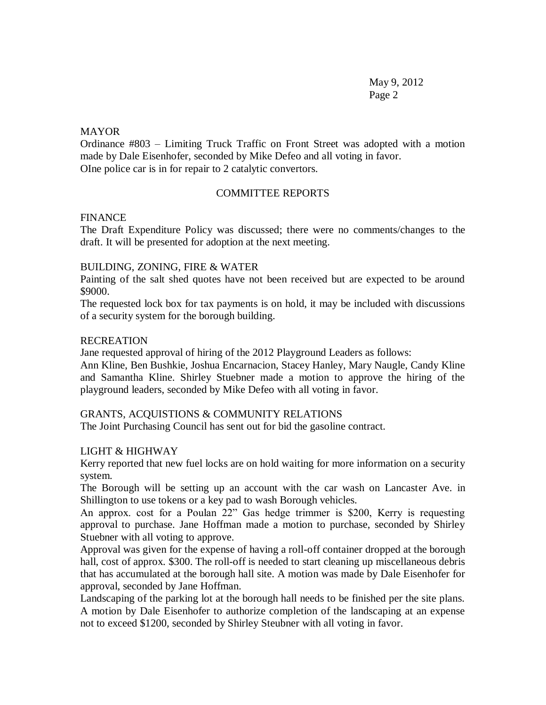May 9, 2012 Page 2

### **MAYOR**

Ordinance #803 – Limiting Truck Traffic on Front Street was adopted with a motion made by Dale Eisenhofer, seconded by Mike Defeo and all voting in favor. OIne police car is in for repair to 2 catalytic convertors.

# COMMITTEE REPORTS

### FINANCE

The Draft Expenditure Policy was discussed; there were no comments/changes to the draft. It will be presented for adoption at the next meeting.

### BUILDING, ZONING, FIRE & WATER

Painting of the salt shed quotes have not been received but are expected to be around \$9000.

The requested lock box for tax payments is on hold, it may be included with discussions of a security system for the borough building.

### RECREATION

Jane requested approval of hiring of the 2012 Playground Leaders as follows:

Ann Kline, Ben Bushkie, Joshua Encarnacion, Stacey Hanley, Mary Naugle, Candy Kline and Samantha Kline. Shirley Stuebner made a motion to approve the hiring of the playground leaders, seconded by Mike Defeo with all voting in favor.

# GRANTS, ACQUISTIONS & COMMUNITY RELATIONS

The Joint Purchasing Council has sent out for bid the gasoline contract.

# LIGHT & HIGHWAY

Kerry reported that new fuel locks are on hold waiting for more information on a security system.

The Borough will be setting up an account with the car wash on Lancaster Ave. in Shillington to use tokens or a key pad to wash Borough vehicles.

An approx. cost for a Poulan 22" Gas hedge trimmer is \$200, Kerry is requesting approval to purchase. Jane Hoffman made a motion to purchase, seconded by Shirley Stuebner with all voting to approve.

Approval was given for the expense of having a roll-off container dropped at the borough hall, cost of approx. \$300. The roll-off is needed to start cleaning up miscellaneous debris that has accumulated at the borough hall site. A motion was made by Dale Eisenhofer for approval, seconded by Jane Hoffman.

Landscaping of the parking lot at the borough hall needs to be finished per the site plans. A motion by Dale Eisenhofer to authorize completion of the landscaping at an expense not to exceed \$1200, seconded by Shirley Steubner with all voting in favor.